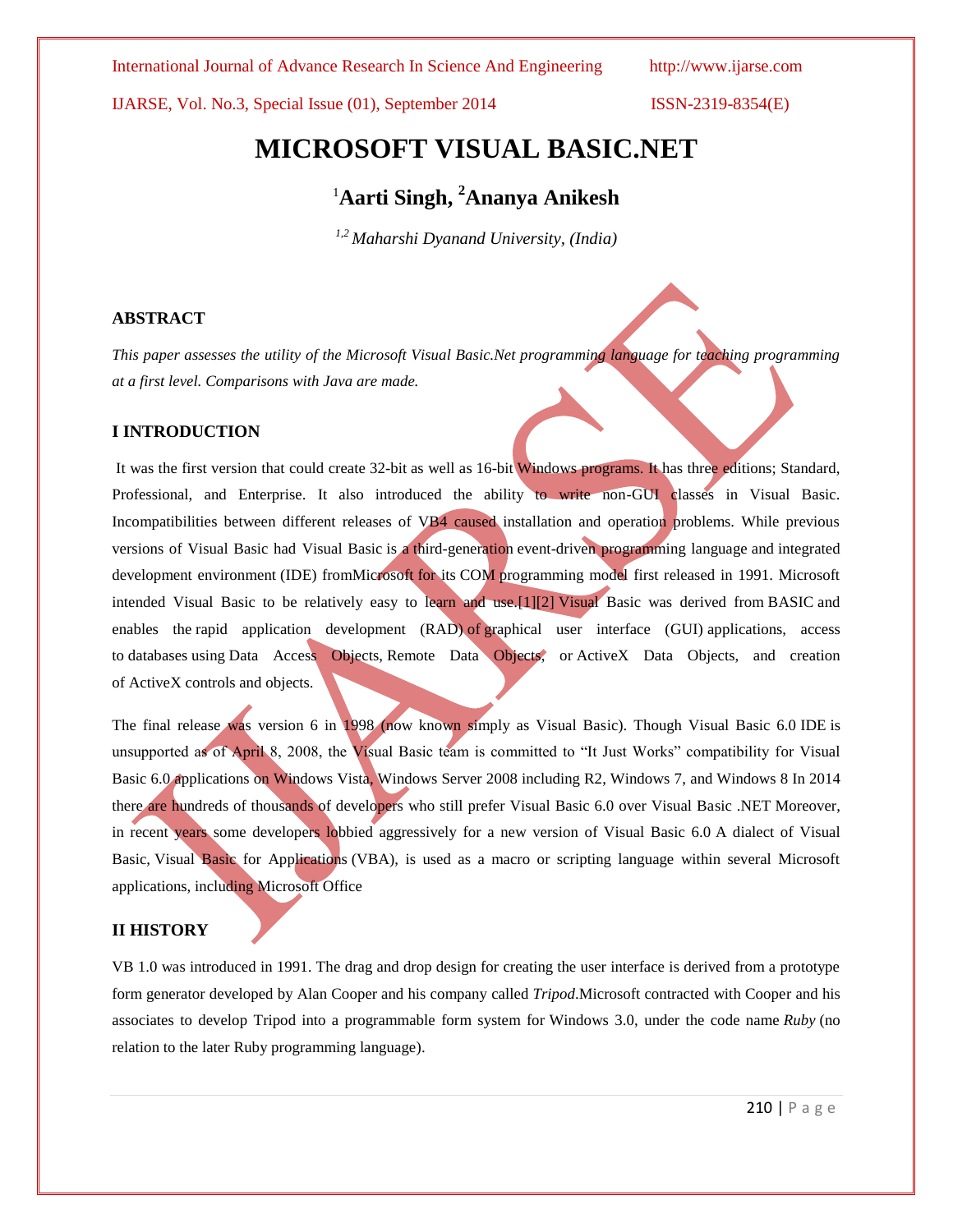IJARSE, Vol. No.3, Special Issue (01), September 2014 ISSN-2319-8354(E)

# **MICROSOFT VISUAL BASIC.NET**

# <sup>1</sup>**Aarti Singh, <sup>2</sup>Ananya Anikesh**

*1,2 Maharshi Dyanand University, (India)*

# **ABSTRACT**

*This paper assesses the utility of the Microsoft Visual Basic.Net programming language for teaching programming at a first level. Comparisons with Java are made.*

# **I INTRODUCTION**

It was the first version that could create [32-bit](http://en.wikipedia.org/wiki/32-bit) as well as [16-bit](http://en.wikipedia.org/wiki/16-bit) Windows programs. It has three editions; Standard, Professional, and Enterprise. It also introduced the ability to write non-GUI classes in Visual Basic. Incompatibilities between different releases of VB4 caused installation and operation problems. While previous versions of Visual Basic had Visual Basic is a [third-generation](http://en.wikipedia.org/wiki/Third-generation_programming_language) [event-driven programming language](http://en.wikipedia.org/wiki/Event-driven_programming) and [integrated](http://en.wikipedia.org/wiki/Integrated_development_environment)  [development environment](http://en.wikipedia.org/wiki/Integrated_development_environment) (IDE) fro[mMicrosoft](http://en.wikipedia.org/wiki/Microsoft) for its [COM](http://en.wikipedia.org/wiki/Component_Object_Model) programming model first released in 1991. Microsoft intended Visual Basic to be relatively easy to learn and use[.\[1\]\[2\]](http://en.wikipedia.org/wiki/Visual_Basic#cite_note-1) Visual Basic was derived from [BASIC](http://en.wikipedia.org/wiki/BASIC) and enables the rapid application [development \(RAD\)](http://en.wikipedia.org/wiki/Rapid_application_development) of [graphical user interface \(GUI\)](http://en.wikipedia.org/wiki/Graphical_user_interface) applications, access to [databases](http://en.wikipedia.org/wiki/Database) using [Data Access Objects,](http://en.wikipedia.org/wiki/Data_Access_Object) [Remote Data Objects,](http://en.wikipedia.org/wiki/Remote_Data_Objects) or [ActiveX Data Objects,](http://en.wikipedia.org/wiki/ActiveX_Data_Object) and creation of [ActiveX](http://en.wikipedia.org/wiki/ActiveX) controls and objects.

The final release was version 6 in 1998 (now known simply as Visual Basic). Though Visual Basic 6.0 [IDE](http://en.wikipedia.org/wiki/Integrated_development_environment) is unsupported as of April 8, 2008, the Visual Basic team is committed to "It Just Works" compatibility for Visual Basic 6.0 applications on [Windows Vista,](http://en.wikipedia.org/wiki/Windows_Vista) [Windows Server 2008](http://en.wikipedia.org/wiki/Windows_Server_2008) including R2, [Windows 7,](http://en.wikipedia.org/wiki/Windows_7) and [Windows 8](http://en.wikipedia.org/wiki/Windows_8) In 2014 there are hundreds of thousands of developers who still prefer Visual Basic 6.0 over Visual Basic .NET Moreover, in recent years some developers lobbied aggressively for a new version of Visual Basic 6.0 A dialect of Visual Basic, Visual Basic [for Applications](http://en.wikipedia.org/wiki/Visual_Basic_for_Applications) (VBA), is used as a macro or scripting language within several Microsoft applications, including [Microsoft Office](http://en.wikipedia.org/wiki/Microsoft_Office)

# **II HISTORY**

VB 1.0 was introduced in 1991. The drag and drop design for creating the user interface is derived from a prototype form generator developed by [Alan Cooper](http://en.wikipedia.org/wiki/Alan_Cooper) and his company called *Tripod*.Microsoft contracted with Cooper and his associates to develop Tripod into a programmable form system for [Windows 3.0,](http://en.wikipedia.org/wiki/Windows_3.0) under the code name *Ruby* (no relation to the later [Ruby programming language\)](http://en.wikipedia.org/wiki/Ruby_(programming_language)).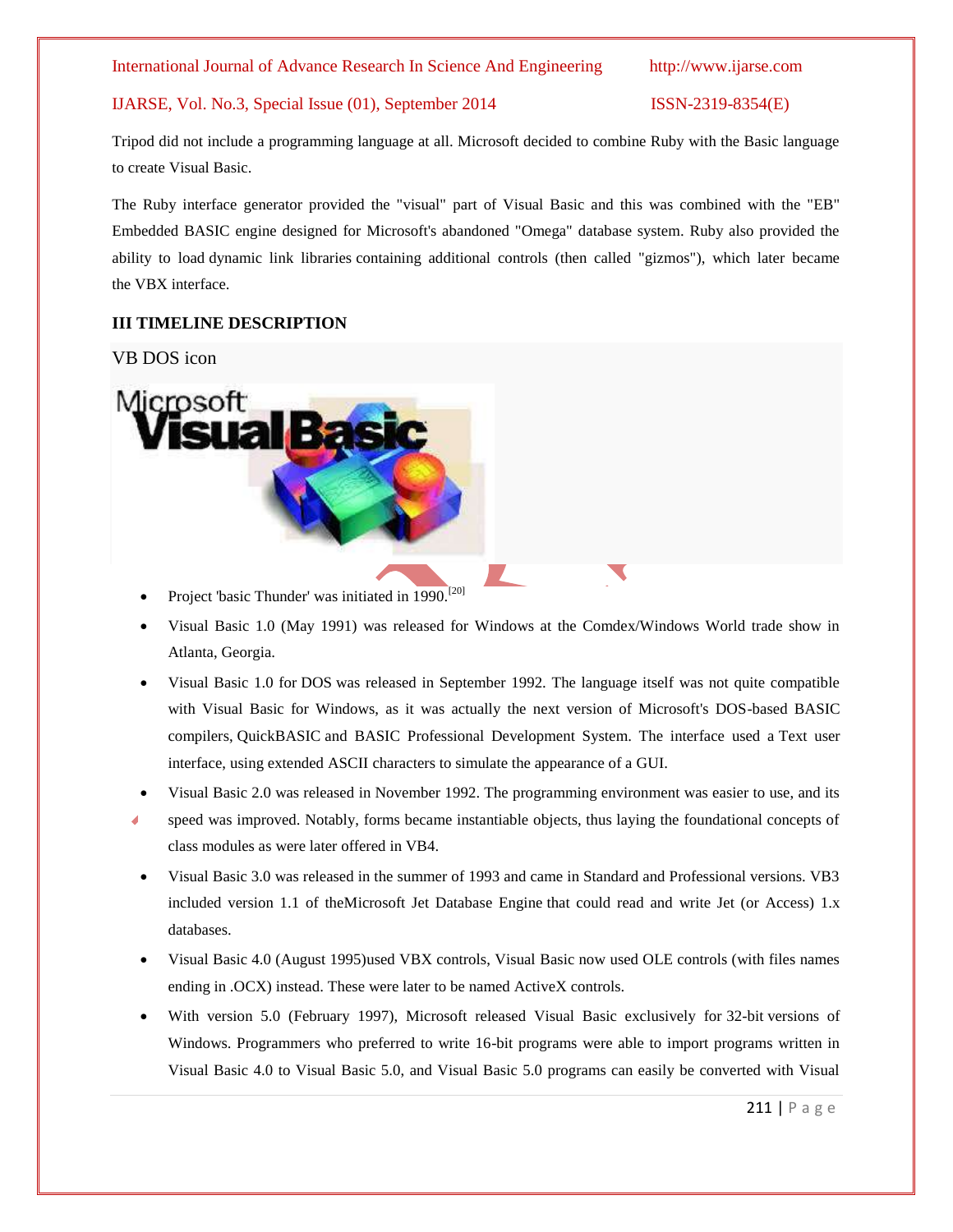# IJARSE, Vol. No.3, Special Issue (01), September 2014 ISSN-2319-8354(E)

Tripod did not include a programming language at all. Microsoft decided to combine Ruby with the Basic language to create Visual Basic.

The Ruby interface generator provided the "visual" part of Visual Basic and this was combined with the "EB" Embedded BASIC engine designed for Microsoft's abandoned "Omega" database system. Ruby also provided the ability to load [dynamic link libraries](http://en.wikipedia.org/wiki/Dynamic-link_library) containing additional controls (then called "gizmos"), which later became the [VBX](http://en.wikipedia.org/wiki/Visual_Basic_Extension) interface.

# **III TIMELINE DESCRIPTION**

# VB DOS icon



- Project 'basic Thunder' was initiated in 1990.<sup>[\[20\]](http://en.wikipedia.org/wiki/Visual_Basic#cite_note-20)</sup>
- Visual Basic 1.0 (May 1991) was released for Windows at the Comdex/Windows World trade show in Atlanta, Georgia.
- Visual Basic 1.0 for [DOS](http://en.wikipedia.org/wiki/DOS) was released in September 1992. The language itself was not quite compatible with Visual Basic for Windows, as it was actually the next version of Microsoft's DOS-based BASIC compilers, [QuickBASIC](http://en.wikipedia.org/wiki/QuickBASIC) and BASIC Professional Development System. The interface used a [Text user](http://en.wikipedia.org/wiki/Text_user_interface)  [interface,](http://en.wikipedia.org/wiki/Text_user_interface) using [extended ASCII](http://en.wikipedia.org/wiki/Extended_ASCII) characters to simulate the appearance of a [GUI.](http://en.wikipedia.org/wiki/Graphical_user_interface)
- Visual Basic 2.0 was released in November 1992. The programming environment was easier to use, and its
- speed was improved. Notably, forms became instantiable objects, thus laying the foundational concepts of class modules as were later offered in VB4.
- Visual Basic 3.0 was released in the summer of 1993 and came in Standard and Professional versions. VB3 included version 1.1 of th[eMicrosoft Jet Database Engine](http://en.wikipedia.org/wiki/Microsoft_Jet_Database_Engine) that could read and write Jet (or Access) 1.x databases.
- Visual Basic 4.0 (August 1995)used VBX controls, Visual Basic now used OLE controls (with files names ending in .OCX) instead. These were later to be named ActiveX controls.
- With version 5.0 (February 1997), Microsoft released Visual Basic exclusively for [32-bit](http://en.wikipedia.org/wiki/32-bit) versions of Windows. Programmers who preferred to write 16-bit programs were able to import programs written in Visual Basic 4.0 to Visual Basic 5.0, and Visual Basic 5.0 programs can easily be converted with Visual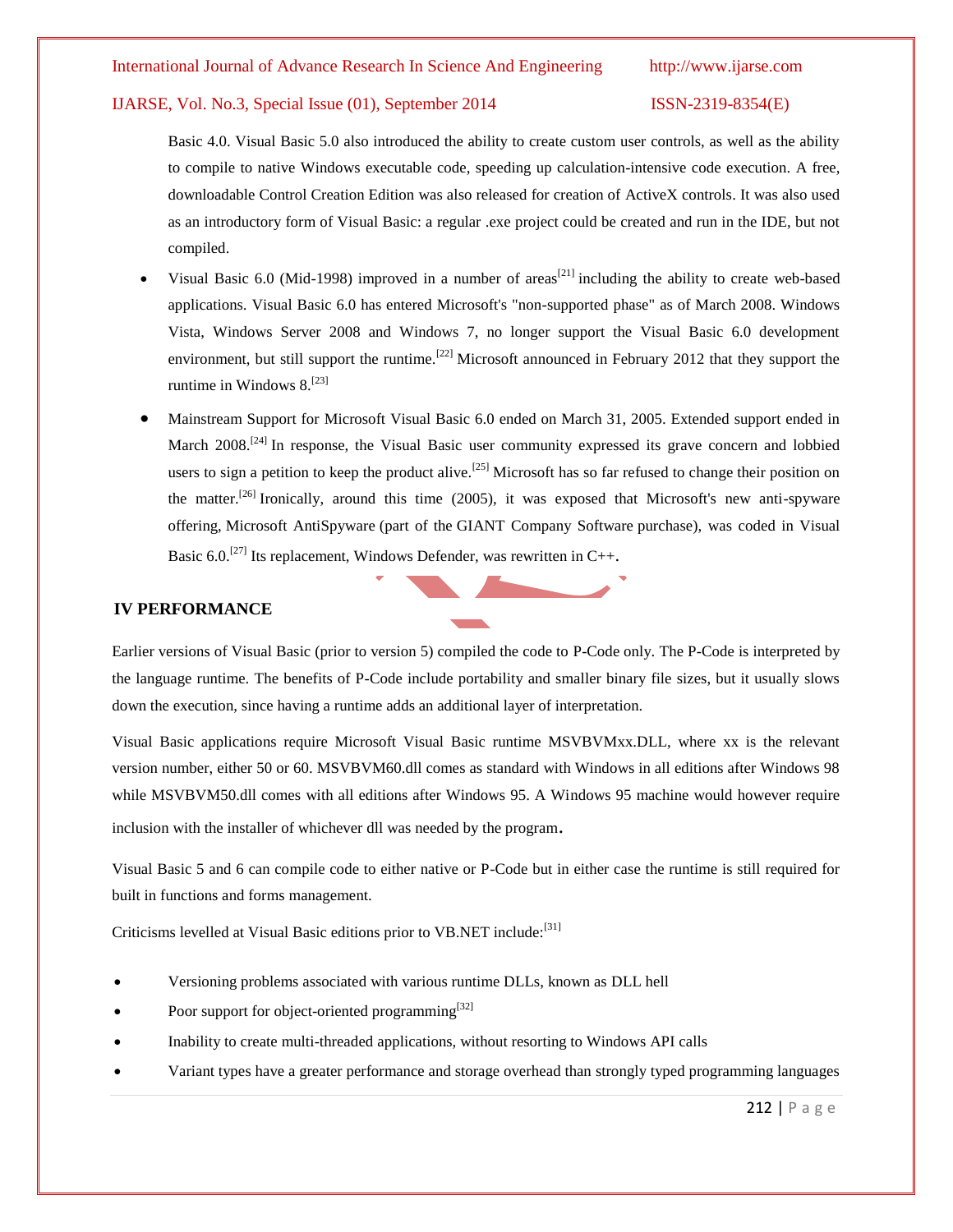# IJARSE, Vol. No.3, Special Issue (01), September 2014 ISSN-2319-8354(E)

Basic 4.0. Visual Basic 5.0 also introduced the ability to create custom user controls, as well as the ability to compile to native Windows executable code, speeding up calculation-intensive code execution. A free, downloadable Control Creation Edition was also released for creation of [ActiveX controls.](http://en.wikipedia.org/wiki/ActiveX) It was also used as an introductory form of Visual Basic: a regular .exe project could be created and run in the IDE, but not compiled.

- Visual Basic 6.0 (Mid-1998) improved in a number of areas<sup>[\[21\]](http://en.wikipedia.org/wiki/Visual_Basic#cite_note-21)</sup> including the ability to create web-based applications. Visual Basic 6.0 has entered Microsoft's "non-supported phase" as of March 2008. Windows Vista, Windows Server 2008 and Windows 7, no longer support the Visual Basic 6.0 development environment, but still support the runtime.<sup>[\[22\]](http://en.wikipedia.org/wiki/Visual_Basic#cite_note-22)</sup> Microsoft announced in February 2012 that they support the runtime in Windows  $8.^{[23]}$  $8.^{[23]}$  $8.^{[23]}$
- Mainstream Support for Microsoft Visual Basic 6.0 ended on March 31, 2005. Extended support ended in March 2008.<sup>[\[24\]](http://en.wikipedia.org/wiki/Visual_Basic#cite_note-24)</sup> In response, the Visual Basic user community expressed its grave concern and lobbied users to sign a petition to keep the product alive.<sup>[\[25\]](http://en.wikipedia.org/wiki/Visual_Basic#cite_note-25)</sup> Microsoft has so far refused to change their position on the matter.<sup>[\[26\]](http://en.wikipedia.org/wiki/Visual_Basic#cite_note-26)</sup> Ironically, around this time (2005), it was exposed that Microsoft's new anti-spyware offering, [Microsoft AntiSpyware](http://en.wikipedia.org/wiki/Windows_Defender) (part of the [GIANT Company Software](http://en.wikipedia.org/wiki/GIANT_Company_Software) purchase), was coded in Visual Basic  $6.0$ <sup>[\[27\]](http://en.wikipedia.org/wiki/Visual_Basic#cite_note-27)</sup> Its replacement, Windows Defender, was rewritten in [C++](http://en.wikipedia.org/wiki/C%2B%2B).

# **IV PERFORMANCE**

Earlier versions of Visual Basic (prior to version 5) compiled the code to [P-Code](http://en.wikipedia.org/wiki/Microsoft_P-Code) only. The P-Code is interpreted by the language runtime. The benefits of P-Code include portability and smaller binary file sizes, but it usually slows down the execution, since having a runtime adds an additional layer of interpretation.

Visual Basic applications require Microsoft Visual Basic runtime MSVBVMxx.DLL, where xx is the relevant version number, either 50 or 60. MSVBVM60.dll comes as standard with Windows in all editions after Windows 98 while MSVBVM50.dll comes with all editions after Windows 95. A Windows 95 machine would however require inclusion with the installer of whichever dll was needed by the program.

Visual Basic 5 and 6 can compile code to either native or P-Code but in either case the runtime is still required for built in functions and forms management.

Criticisms levelled at Visual Basic editions prior to VB.NET include:<sup>[\[31\]](http://en.wikipedia.org/wiki/Visual_Basic#cite_note-31)</sup>

- Versioning problems associated with various runtime DLLs, known as [DLL hell](http://en.wikipedia.org/wiki/DLL_hell)
- Poor support for [object-oriented programming](http://en.wikipedia.org/wiki/Object-oriented_programming)<sup>[\[32\]](http://en.wikipedia.org/wiki/Object-oriented_programming)</sup>
- Inability to create multi[-threaded](http://en.wikipedia.org/wiki/Thread_(computer_science)) applications, without resorting to Windows API calls
- [Variant types](http://en.wikipedia.org/wiki/Variant_type) have a greater performance and storage overhead than [strongly typed programming languages](http://en.wikipedia.org/wiki/Strongly_typed_programming_language)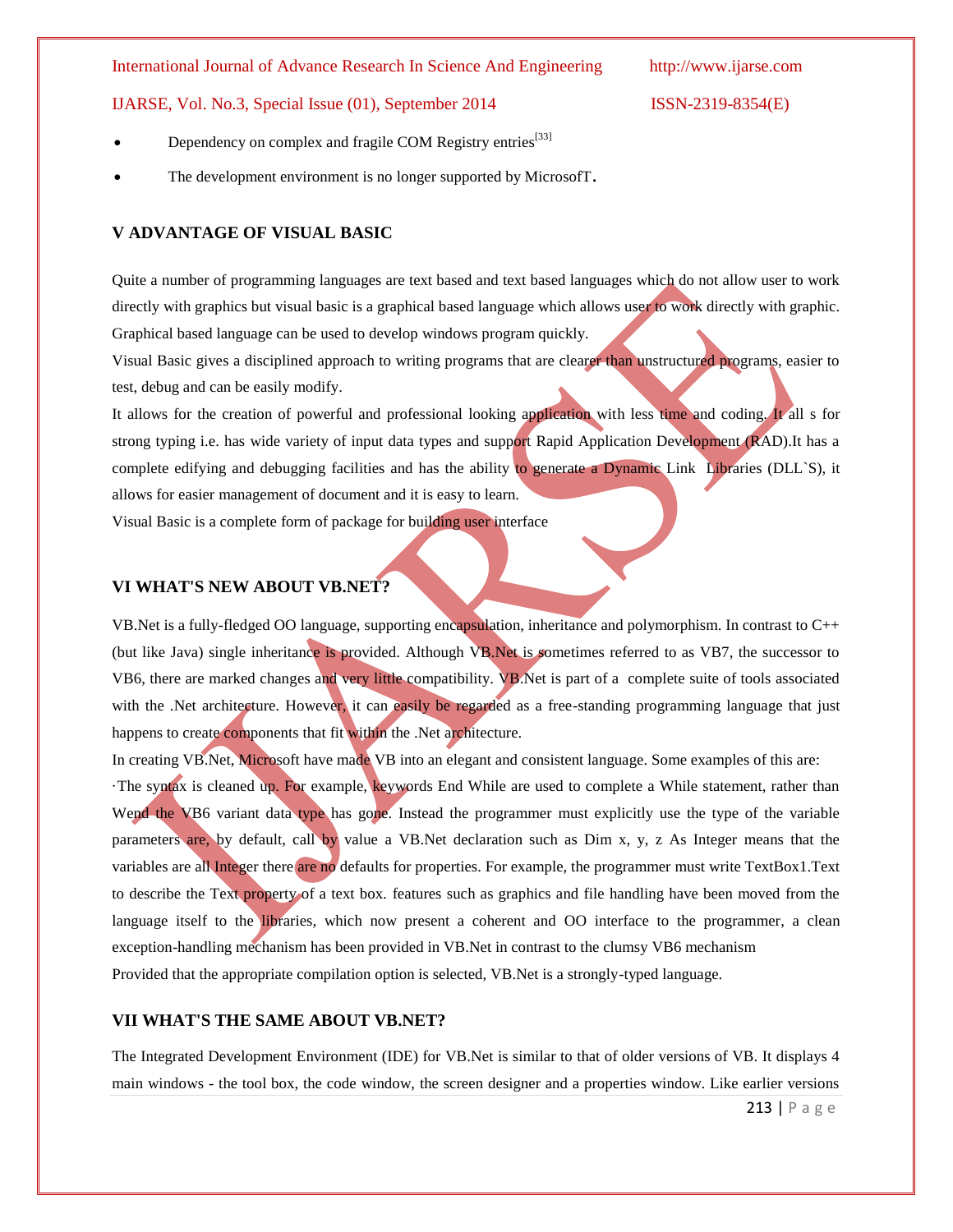IJARSE, Vol. No.3, Special Issue (01), September 2014 ISSN-2319-8354(E)

- Dependency on complex and fragile [COM](http://en.wikipedia.org/wiki/Component_Object_Model) Registry entries<sup>[\[33\]](http://en.wikipedia.org/wiki/Visual_Basic#cite_note-33)</sup>
- The development environment is no longer supported by MicrosofT.

# **V ADVANTAGE OF VISUAL BASIC**

Quite a number of programming languages are text based and text based languages which do not allow user to work directly with graphics but visual basic is a graphical based language which allows user to work directly with graphic. Graphical based language can be used to develop windows program quickly.

Visual Basic gives a disciplined approach to writing programs that are clearer than unstructured programs, easier to test, debug and can be easily modify.

It allows for the creation of powerful and professional looking application with less time and coding. It all s for strong typing i.e. has wide variety of input data types and support Rapid Application Development (RAD).It has a complete edifying and debugging facilities and has the ability to generate a Dynamic Link Libraries (DLL`S), it allows for easier management of document and it is easy to learn.

Visual Basic is a complete form of package for building user interface

### **VI WHAT'S NEW ABOUT VB.NET?**

VB.Net is a fully-fledged OO language, supporting encapsulation, inheritance and polymorphism. In contrast to C++ (but like Java) single inheritance is provided. Although VB.Net is sometimes referred to as VB7, the successor to VB6, there are marked changes and very little compatibility. VB.Net is part of a complete suite of tools associated with the .Net architecture. However, it can easily be regarded as a free-standing programming language that just happens to create components that fit within the .Net architecture.

In creating VB.Net, Microsoft have made VB into an elegant and consistent language. Some examples of this are:

·The syntax is cleaned up. For example, keywords End While are used to complete a While statement, rather than Wend the VB6 variant data type has gone. Instead the programmer must explicitly use the type of the variable parameters are, by default, call by value a VB.Net declaration such as Dim x, y, z As Integer means that the variables are all Integer there are no defaults for properties. For example, the programmer must write TextBox1.Text to describe the Text property of a text box. features such as graphics and file handling have been moved from the language itself to the libraries, which now present a coherent and OO interface to the programmer, a clean exception-handling mechanism has been provided in VB.Net in contrast to the clumsy VB6 mechanism Provided that the appropriate compilation option is selected, VB.Net is a strongly-typed language.

### **VII WHAT'S THE SAME ABOUT VB.NET?**

The Integrated Development Environment (IDE) for VB.Net is similar to that of older versions of VB. It displays 4 main windows - the tool box, the code window, the screen designer and a properties window. Like earlier versions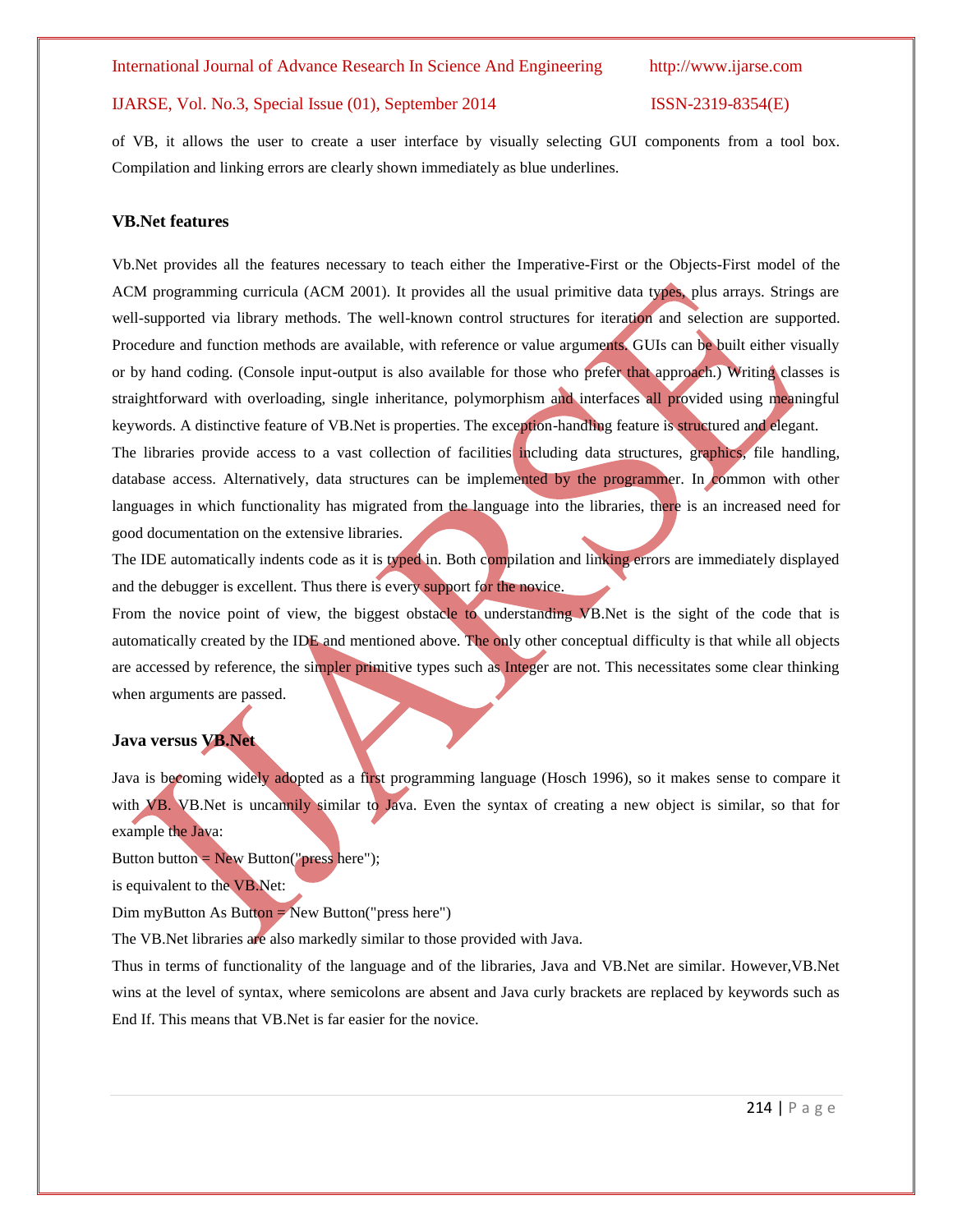### IJARSE, Vol. No.3, Special Issue (01), September 2014 ISSN-2319-8354(E)

of VB, it allows the user to create a user interface by visually selecting GUI components from a tool box. Compilation and linking errors are clearly shown immediately as blue underlines.

#### **VB.Net features**

Vb.Net provides all the features necessary to teach either the Imperative-First or the Objects-First model of the ACM programming curricula (ACM 2001). It provides all the usual primitive data types, plus arrays. Strings are well-supported via library methods. The well-known control structures for iteration and selection are supported. Procedure and function methods are available, with reference or value arguments. GUIs can be built either visually or by hand coding. (Console input-output is also available for those who prefer that approach.) Writing classes is straightforward with overloading, single inheritance, polymorphism and interfaces all provided using meaningful keywords. A distinctive feature of VB.Net is properties. The exception-handling feature is structured and elegant.

The libraries provide access to a vast collection of facilities including data structures, graphics, file handling, database access. Alternatively, data structures can be implemented by the programmer. In common with other languages in which functionality has migrated from the language into the libraries, there is an increased need for good documentation on the extensive libraries.

The IDE automatically indents code as it is typed in. Both compilation and linking errors are immediately displayed and the debugger is excellent. Thus there is every support for the novice.

From the novice point of view, the biggest obstacle to understanding VB.Net is the sight of the code that is automatically created by the IDE and mentioned above. The only other conceptual difficulty is that while all objects are accessed by reference, the simpler primitive types such as Integer are not. This necessitates some clear thinking when arguments are passed.

#### **Java versus VB.Net**

Java is becoming widely adopted as a first programming language (Hosch 1996), so it makes sense to compare it with VB. VB.Net is uncannily similar to Java. Even the syntax of creating a new object is similar, so that for example the Java:

Button button =  $New Button("press here");$ 

is equivalent to the VB.Net:

 $Dim$  myButton As Button = New Button("press here")

The VB.Net libraries are also markedly similar to those provided with Java.

Thus in terms of functionality of the language and of the libraries, Java and VB.Net are similar. However,VB.Net wins at the level of syntax, where semicolons are absent and Java curly brackets are replaced by keywords such as End If. This means that VB.Net is far easier for the novice.